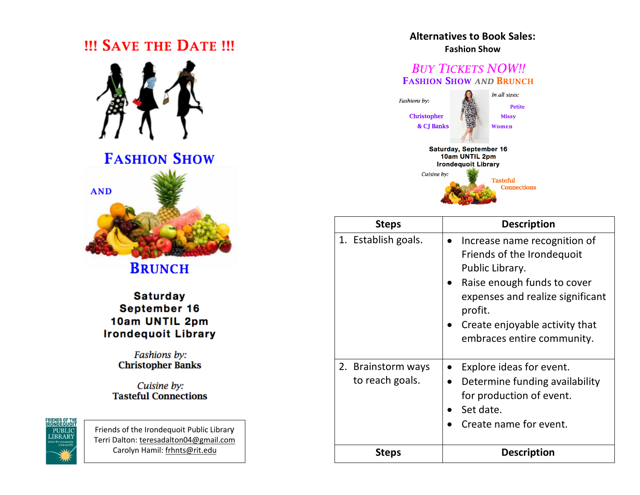## **III SAVE THE DATE III**



**FASHION SHOW** 



**BRUNCH** 

**Saturday** September 16 10am UNTIL 2pm **Irondequoit Library** 

> Fashions by: **Christopher Banks**

Cuisine by: **Tasteful Connections** 



Friends of the Irondequoit Public Library Terri Dalton: teresadalton04@gmail.com Carolyn Hamil: frhnts@rit.edu

## **Alternatives to Book Sales: Fashion Show**

## **BUY TICKETS NOW!! FASHION SHOW AND BRUNCH**



| <b>Steps</b>                          | <b>Description</b>                                                                                                                                                                                                          |
|---------------------------------------|-----------------------------------------------------------------------------------------------------------------------------------------------------------------------------------------------------------------------------|
| 1. Establish goals.                   | Increase name recognition of<br>Friends of the Irondequoit<br>Public Library.<br>Raise enough funds to cover<br>expenses and realize significant<br>profit.<br>Create enjoyable activity that<br>embraces entire community. |
| 2. Brainstorm ways<br>to reach goals. | Explore ideas for event.<br>Determine funding availability<br>$\bullet$<br>for production of event.<br>Set date.<br>Create name for event.                                                                                  |
| <b>Steps</b>                          | <b>Description</b>                                                                                                                                                                                                          |